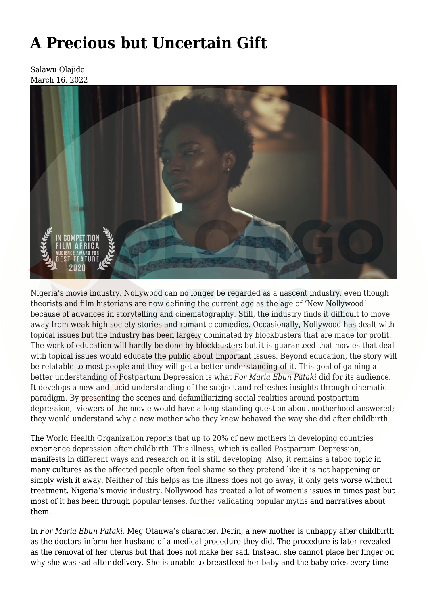## **[A Precious but Uncertain Gift](https://olongoafrica.com/a-precious-but-uncertain-gift/)**

Salawu Olajide March 16, 2022



Nigeria's movie industry, Nollywood can no longer be regarded as a nascent industry, even though theorists and film historians are now defining the current age as the age of 'New Nollywood' because of advances in storytelling and cinematography. Still, the industry finds it difficult to move away from weak high society stories and romantic comedies. Occasionally, Nollywood has dealt with topical issues but the industry has been largely dominated by blockbusters that are made for profit. The work of education will hardly be done by blockbusters but it is guaranteed that movies that deal with topical issues would educate the public about important issues. Beyond education, the story will be relatable to most people and they will get a better understanding of it. This goal of gaining a better understanding of Postpartum Depression is what *For Maria Ebun Pataki* did for its audience. It develops a new and lucid understanding of the subject and refreshes insights through cinematic paradigm. By presenting the scenes and defamiliarizing social realities around postpartum depression, viewers of the movie would have a long standing question about motherhood answered; they would understand why a new mother who they knew behaved the way she did after childbirth.

The World Health Organization reports that up to [20%](https://www.who.int/mental_health/maternal-child/maternal_mental_health/en/) of new mothers in developing countries experience depression after childbirth. This illness, which is called Postpartum Depression, manifests in different ways and research on it is still developing. Also, it remains a taboo topic in many cultures as the affected people often feel shame so they pretend like it is not happening or simply wish it away. Neither of this helps as the illness does not go away, it only gets worse without treatment. Nigeria's movie industry, Nollywood has treated a lot of women's issues in times past but most of it has been through popular lenses, further validating popular myths and narratives about them.

In *For Maria Ebun Pataki,* Meg Otanwa's character, Derin, a new mother is unhappy after childbirth as the doctors inform her husband of a medical procedure they did. The procedure is later revealed as the removal of her uterus but that does not make her sad. Instead, she cannot place her finger on why she was sad after delivery. She is unable to breastfeed her baby and the baby cries every time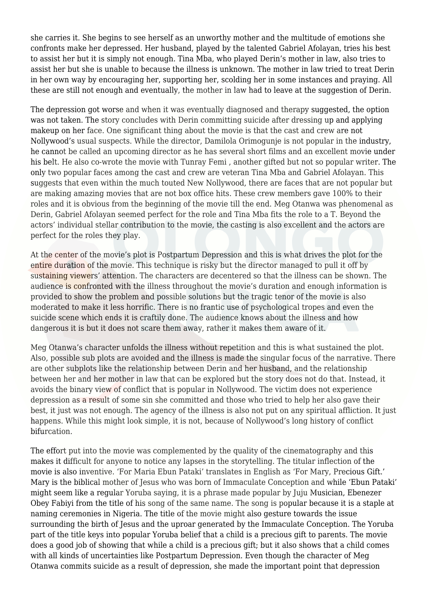she carries it. She begins to see herself as an unworthy mother and the multitude of emotions she confronts make her depressed. Her husband, played by the talented Gabriel Afolayan, tries his best to assist her but it is simply not enough. Tina Mba, who played Derin's mother in law, also tries to assist her but she is unable to because the illness is unknown. The mother in law tried to treat Derin in her own way by encouraging her, supporting her, scolding her in some instances and praying. All these are still not enough and eventually, the mother in law had to leave at the suggestion of Derin.

The depression got worse and when it was eventually diagnosed and therapy suggested, the option was not taken. The story concludes with Derin committing suicide after dressing up and applying makeup on her face. One significant thing about the movie is that the cast and crew are not Nollywood's usual suspects. While the director, Damilola Orimogunje is not popular in the industry, he cannot be called an upcoming director as he has several short films and an excellent movie under his belt. He also co-wrote the movie with Tunray Femi , another gifted but not so popular writer. The only two popular faces among the cast and crew are veteran Tina Mba and Gabriel Afolayan. This suggests that even within the much touted New Nollywood, there are faces that are not popular but are making amazing movies that are not box office hits. These crew members gave 100% to their roles and it is obvious from the beginning of the movie till the end. Meg Otanwa was phenomenal as Derin, Gabriel Afolayan seemed perfect for the role and Tina Mba fits the role to a T. Beyond the actors' individual stellar contribution to the movie, the casting is also excellent and the actors are perfect for the roles they play.

At the center of the movie's plot is Postpartum Depression and this is what drives the plot for the entire duration of the movie. This technique is risky but the director managed to pull it off by sustaining viewers' attention. The characters are decentered so that the illness can be shown. The audience is confronted with the illness throughout the movie's duration and enough information is provided to show the problem and possible solutions but the tragic tenor of the movie is also moderated to make it less horrific. There is no frantic use of psychological tropes and even the suicide scene which ends it is craftily done. The audience knows about the illness and how dangerous it is but it does not scare them away, rather it makes them aware of it.

Meg Otanwa's character unfolds the illness without repetition and this is what sustained the plot. Also, possible sub plots are avoided and the illness is made the singular focus of the narrative. There are other subplots like the relationship between Derin and her husband, and the relationship between her and her mother in law that can be explored but the story does not do that. Instead, it avoids the binary view of conflict that is popular in Nollywood. The victim does not experience depression as a result of some sin she committed and those who tried to help her also gave their best, it just was not enough. The agency of the illness is also not put on any spiritual affliction. It just happens. While this might look simple, it is not, because of Nollywood's long history of conflict bifurcation.

The effort put into the movie was complemented by the quality of the cinematography and this makes it difficult for anyone to notice any lapses in the storytelling. The titular inflection of the movie is also inventive. 'For Maria Ebun Pataki' translates in English as 'For Mary, Precious Gift.' Mary is the biblical mother of Jesus who was born of Immaculate Conception and while 'Ebun Pataki' might seem like a regular Yoruba saying, it is a phrase made popular by Juju Musician, Ebenezer Obey Fabiyi from the title of his song of the same name. The song is popular because it is a staple at naming ceremonies in Nigeria. The title of the movie might also gesture towards the issue surrounding the birth of Jesus and the uproar generated by the Immaculate Conception. The Yoruba part of the title keys into popular Yoruba belief that a child is a precious gift to parents. The movie does a good job of showing that while a child is a precious gift; but it also shows that a child comes with all kinds of uncertainties like Postpartum Depression. Even though the character of Meg Otanwa commits suicide as a result of depression, she made the important point that depression